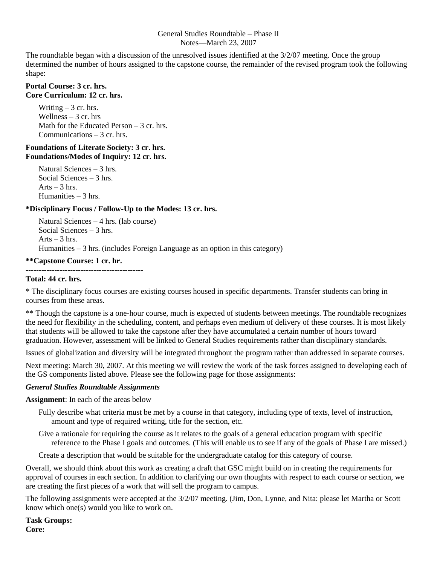### General Studies Roundtable – Phase II Notes—March 23, 2007

The roundtable began with a discussion of the unresolved issues identified at the 3/2/07 meeting. Once the group determined the number of hours assigned to the capstone course, the remainder of the revised program took the following shape:

### **Portal Course: 3 cr. hrs. Core Curriculum: 12 cr. hrs.**

Writing  $-3$  cr. hrs. Wellness  $-3$  cr. hrs Math for the Educated Person – 3 cr. hrs. Communications – 3 cr. hrs.

### **Foundations of Literate Society: 3 cr. hrs. Foundations/Modes of Inquiry: 12 cr. hrs.**

Natural Sciences – 3 hrs. Social Sciences – 3 hrs. Arts  $-3$  hrs. Humanities – 3 hrs.

# **\*Disciplinary Focus / Follow-Up to the Modes: 13 cr. hrs.**

Natural Sciences – 4 hrs. (lab course) Social Sciences – 3 hrs. Arts  $-3$  hrs. Humanities – 3 hrs. (includes Foreign Language as an option in this category)

# **\*\*Capstone Course: 1 cr. hr.**

#### **---------------------------------------------**

### **Total: 44 cr. hrs.**

\* The disciplinary focus courses are existing courses housed in specific departments. Transfer students can bring in courses from these areas.

\*\* Though the capstone is a one-hour course, much is expected of students between meetings. The roundtable recognizes the need for flexibility in the scheduling, content, and perhaps even medium of delivery of these courses. It is most likely that students will be allowed to take the capstone after they have accumulated a certain number of hours toward graduation. However, assessment will be linked to General Studies requirements rather than disciplinary standards.

Issues of globalization and diversity will be integrated throughout the program rather than addressed in separate courses.

Next meeting: March 30, 2007. At this meeting we will review the work of the task forces assigned to developing each of the GS components listed above. Please see the following page for those assignments:

# *General Studies Roundtable Assignments*

**Assignment**: In each of the areas below

- Fully describe what criteria must be met by a course in that category, including type of texts, level of instruction, amount and type of required writing, title for the section, etc.
- Give a rationale for requiring the course as it relates to the goals of a general education program with specific reference to the Phase I goals and outcomes. (This will enable us to see if any of the goals of Phase I are missed.)

Create a description that would be suitable for the undergraduate catalog for this category of course.

Overall, we should think about this work as creating a draft that GSC might build on in creating the requirements for approval of courses in each section. In addition to clarifying our own thoughts with respect to each course or section, we are creating the first pieces of a work that will sell the program to campus.

The following assignments were accepted at the 3/2/07 meeting. (Jim, Don, Lynne, and Nita: please let Martha or Scott know which one(s) would you like to work on.

**Task Groups: Core:**